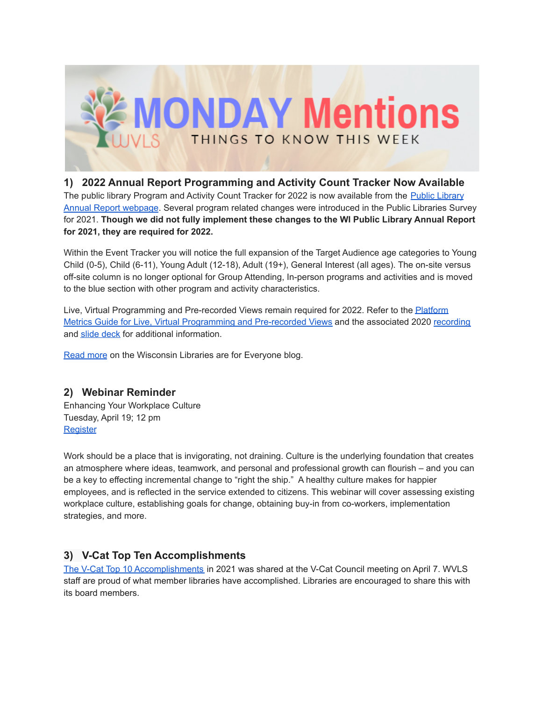

# **1) 2022 Annual Report Programming and Activity Count Tracker Now Available**

The public library Program and Activity Count Tracker for 2022 is now available from the Public [Library](https://dpi.wi.gov/pld/data-reports/annual-report) Annual Report [webpage](https://dpi.wi.gov/pld/data-reports/annual-report). Several program related changes were introduced in the Public Libraries Survey for 2021. **Though we did not fully implement these changes to the WI Public Library Annual Report for 2021, they are required for 2022.**

Within the Event Tracker you will notice the full expansion of the Target Audience age categories to Young Child (0-5), Child (6-11), Young Adult (12-18), Adult (19+), General Interest (all ages). The on-site versus off-site column is no longer optional for Group Attending, In-person programs and activities and is moved to the blue section with other program and activity characteristics.

Live, Virtual Programming and Pre-recorded Views remain required for 2022. Refer to the **[Platform](https://docs.google.com/document/d/1bPURrG2dFEE-21JGMa-YCEv5o-p0E7X3oHRX-9H4Xxs)** Metrics Guide for Live, Virtual [Programming](https://docs.google.com/document/d/1bPURrG2dFEE-21JGMa-YCEv5o-p0E7X3oHRX-9H4Xxs) and Pre-recorded Views and the associated 2020 [recording](https://youtu.be/-RHAtf71QgQ) and slide [deck](https://docs.google.com/presentation/d/1qvkP92knkQR1ENhoM7hsJc-g7amt37DYjaZAJUGUcms) for additional information.

[Read](https://dpi.wi.gov/wilibrariesforeveryone/2022-public-library-annual-report-programming-and-activity-count-tracker-now) more on the Wisconsin Libraries are for Everyone blog.

#### **2) Webinar Reminder**

Enhancing Your Workplace Culture Tuesday, April 19; 12 pm **[Register](https://us02web.zoom.us/webinar/register/WN_0WSQTsIISKuFc1bXUqNACQ)** 

Work should be a place that is invigorating, not draining. Culture is the underlying foundation that creates an atmosphere where ideas, teamwork, and personal and professional growth can flourish – and you can be a key to effecting incremental change to "right the ship." A healthy culture makes for happier employees, and is reflected in the service extended to citizens. This webinar will cover assessing existing workplace culture, establishing goals for change, obtaining buy-in from co-workers, implementation strategies, and more.

#### **3) V-Cat Top Ten Accomplishments**

The V-Cat Top 10 [Accomplishments](https://wvls.org/wp-content/uploads/2022/04/V-Cat-Top-10-in-2021-Final.pdf) in 2021 was shared at the V-Cat Council meeting on April 7. WVLS staff are proud of what member libraries have accomplished. Libraries are encouraged to share this with its board members.